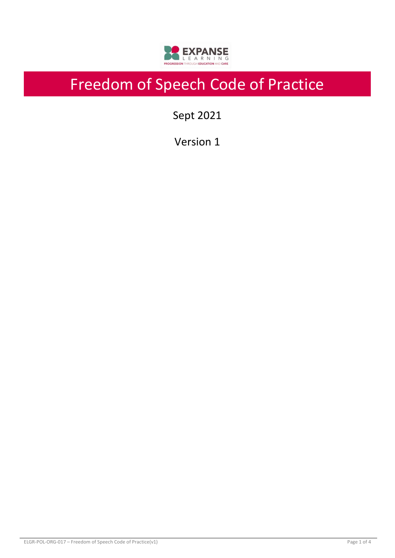

# Freedom of Speech Code of Practice

Sept 2021

Version 1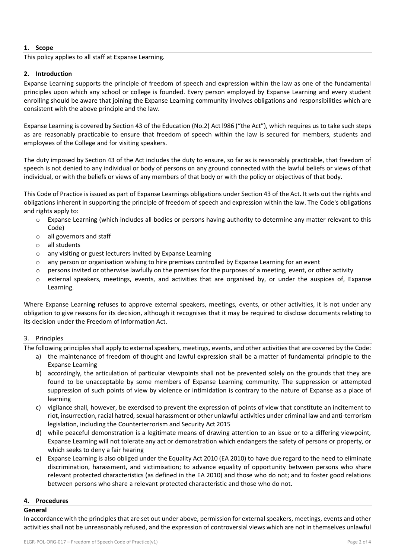# **1. Scope**

This policy applies to all staff at Expanse Learning.

## **2. Introduction**

Expanse Learning supports the principle of freedom of speech and expression within the law as one of the fundamental principles upon which any school or college is founded. Every person employed by Expanse Learning and every student enrolling should be aware that joining the Expanse Learning community involves obligations and responsibilities which are consistent with the above principle and the law.

Expanse Learning is covered by Section 43 of the Education (No.2) Act l986 ("the Act"), which requires us to take such steps as are reasonably practicable to ensure that freedom of speech within the law is secured for members, students and employees of the College and for visiting speakers.

The duty imposed by Section 43 of the Act includes the duty to ensure, so far as is reasonably practicable, that freedom of speech is not denied to any individual or body of persons on any ground connected with the lawful beliefs or views of that individual, or with the beliefs or views of any members of that body or with the policy or objectives of that body.

This Code of Practice is issued as part of Expanse Learnings obligations under Section 43 of the Act. It sets out the rights and obligations inherent in supporting the principle of freedom of speech and expression within the law. The Code's obligations and rights apply to:

- $\circ$  Expanse Learning (which includes all bodies or persons having authority to determine any matter relevant to this Code)
- o all governors and staff
- o all students
- o any visiting or guest lecturers invited by Expanse Learning
- o any person or organisation wishing to hire premises controlled by Expanse Learning for an event
- o persons invited or otherwise lawfully on the premises for the purposes of a meeting, event, or other activity
- o external speakers, meetings, events, and activities that are organised by, or under the auspices of, Expanse Learning.

Where Expanse Learning refuses to approve external speakers, meetings, events, or other activities, it is not under any obligation to give reasons for its decision, although it recognises that it may be required to disclose documents relating to its decision under the Freedom of Information Act.

## 3. Principles

The following principles shall apply to external speakers, meetings, events, and other activities that are covered by the Code:

- a) the maintenance of freedom of thought and lawful expression shall be a matter of fundamental principle to the Expanse Learning
- b) accordingly, the articulation of particular viewpoints shall not be prevented solely on the grounds that they are found to be unacceptable by some members of Expanse Learning community. The suppression or attempted suppression of such points of view by violence or intimidation is contrary to the nature of Expanse as a place of learning
- c) vigilance shall, however, be exercised to prevent the expression of points of view that constitute an incitement to riot, insurrection, racial hatred, sexual harassment or other unlawful activities under criminal law and anti-terrorism legislation, including the Counterterrorism and Security Act 2015
- d) while peaceful demonstration is a legitimate means of drawing attention to an issue or to a differing viewpoint, Expanse Learning will not tolerate any act or demonstration which endangers the safety of persons or property, or which seeks to deny a fair hearing
- e) Expanse Learning is also obliged under the Equality Act 2010 (EA 2010) to have due regard to the need to eliminate discrimination, harassment, and victimisation; to advance equality of opportunity between persons who share relevant protected characteristics (as defined in the EA 2010) and those who do not; and to foster good relations between persons who share a relevant protected characteristic and those who do not.

# **4. Procedures**

## **General**

In accordance with the principles that are set out under above, permission for external speakers, meetings, events and other activities shall not be unreasonably refused, and the expression of controversial views which are not in themselves unlawful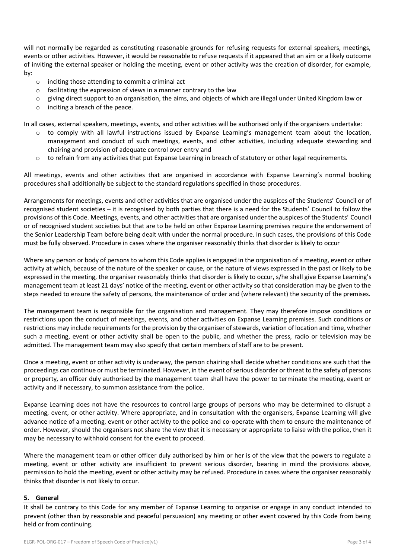will not normally be regarded as constituting reasonable grounds for refusing requests for external speakers, meetings, events or other activities. However, it would be reasonable to refuse requests if it appeared that an aim or a likely outcome of inviting the external speaker or holding the meeting, event or other activity was the creation of disorder, for example, by:

- o inciting those attending to commit a criminal act
- o facilitating the expression of views in a manner contrary to the law
- $\circ$  giving direct support to an organisation, the aims, and objects of which are illegal under United Kingdom law or
- o inciting a breach of the peace.

In all cases, external speakers, meetings, events, and other activities will be authorised only if the organisers undertake:

- to comply with all lawful instructions issued by Expanse Learning's management team about the location, management and conduct of such meetings, events, and other activities, including adequate stewarding and chairing and provision of adequate control over entry and
- $\circ$  to refrain from any activities that put Expanse Learning in breach of statutory or other legal requirements.

All meetings, events and other activities that are organised in accordance with Expanse Learning's normal booking procedures shall additionally be subject to the standard regulations specified in those procedures.

Arrangements for meetings, events and other activities that are organised under the auspices of the Students' Council or of recognised student societies – it is recognised by both parties that there is a need for the Students' Council to follow the provisions of this Code. Meetings, events, and other activities that are organised under the auspices of the Students' Council or of recognised student societies but that are to be held on other Expanse Learning premises require the endorsement of the Senior Leadership Team before being dealt with under the normal procedure. In such cases, the provisions of this Code must be fully observed. Procedure in cases where the organiser reasonably thinks that disorder is likely to occur

Where any person or body of persons to whom this Code applies is engaged in the organisation of a meeting, event or other activity at which, because of the nature of the speaker or cause, or the nature of views expressed in the past or likely to be expressed in the meeting, the organiser reasonably thinks that disorder is likely to occur, s/he shall give Expanse Learning's management team at least 21 days' notice of the meeting, event or other activity so that consideration may be given to the steps needed to ensure the safety of persons, the maintenance of order and (where relevant) the security of the premises.

The management team is responsible for the organisation and management. They may therefore impose conditions or restrictions upon the conduct of meetings, events, and other activities on Expanse Learning premises. Such conditions or restrictions may include requirements for the provision by the organiser of stewards, variation of location and time, whether such a meeting, event or other activity shall be open to the public, and whether the press, radio or television may be admitted. The management team may also specify that certain members of staff are to be present.

Once a meeting, event or other activity is underway, the person chairing shall decide whether conditions are such that the proceedings can continue or must be terminated. However, in the event of serious disorder or threat to the safety of persons or property, an officer duly authorised by the management team shall have the power to terminate the meeting, event or activity and if necessary, to summon assistance from the police.

Expanse Learning does not have the resources to control large groups of persons who may be determined to disrupt a meeting, event, or other activity. Where appropriate, and in consultation with the organisers, Expanse Learning will give advance notice of a meeting, event or other activity to the police and co-operate with them to ensure the maintenance of order. However, should the organisers not share the view that it is necessary or appropriate to liaise with the police, then it may be necessary to withhold consent for the event to proceed.

Where the management team or other officer duly authorised by him or her is of the view that the powers to regulate a meeting, event or other activity are insufficient to prevent serious disorder, bearing in mind the provisions above, permission to hold the meeting, event or other activity may be refused. Procedure in cases where the organiser reasonably thinks that disorder is not likely to occur.

#### **5. General**

It shall be contrary to this Code for any member of Expanse Learning to organise or engage in any conduct intended to prevent (other than by reasonable and peaceful persuasion) any meeting or other event covered by this Code from being held or from continuing.